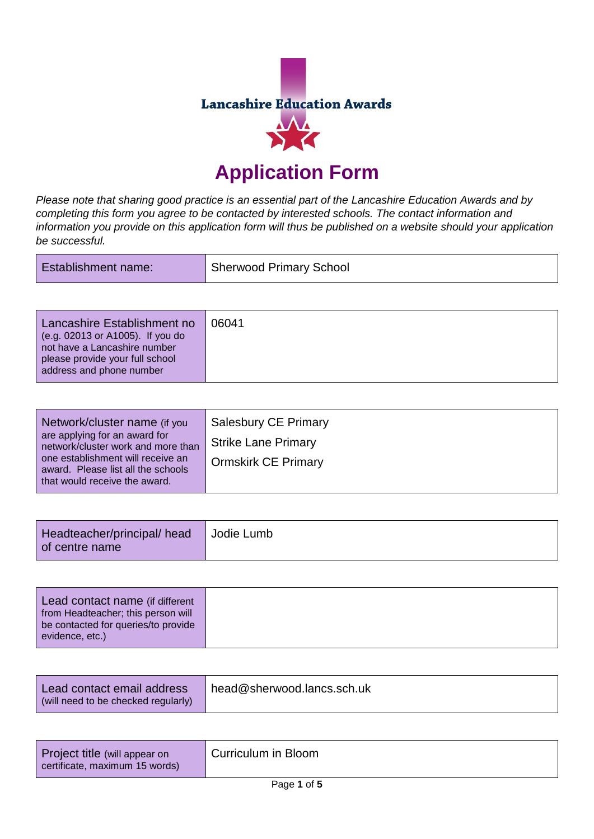

## **Application Form**

*Please note that sharing good practice is an essential part of the Lancashire Education Awards and by completing this form you agree to be contacted by interested schools. The contact information and information you provide on this application form will thus be published on a website should your application be successful.*

| <b>Establishment name:</b> | Sherwood Primary School |
|----------------------------|-------------------------|
|----------------------------|-------------------------|

| Lancashire Establishment no<br>(e.g. 02013 or A1005). If you do<br>not have a Lancashire number<br>please provide your full school<br>address and phone number | 06041 |
|----------------------------------------------------------------------------------------------------------------------------------------------------------------|-------|
|----------------------------------------------------------------------------------------------------------------------------------------------------------------|-------|

| Network/cluster name (if you<br>are applying for an award for<br>network/cluster work and more than      | <b>Salesbury CE Primary</b><br><b>Strike Lane Primary</b> |
|----------------------------------------------------------------------------------------------------------|-----------------------------------------------------------|
| one establishment will receive an<br>award. Please list all the schools<br>that would receive the award. | <b>Ormskirk CE Primary</b>                                |

| Headteacher/principal/ head<br>l of centre name | Jodie Lumb |
|-------------------------------------------------|------------|
|-------------------------------------------------|------------|

| Lead contact email address<br>(will need to be checked regularly) | head@sherwood.lancs.sch.uk |
|-------------------------------------------------------------------|----------------------------|
|-------------------------------------------------------------------|----------------------------|

| Project title (will appear on<br>certificate, maximum 15 words) | Curriculum in Bloom |
|-----------------------------------------------------------------|---------------------|
|                                                                 | ---                 |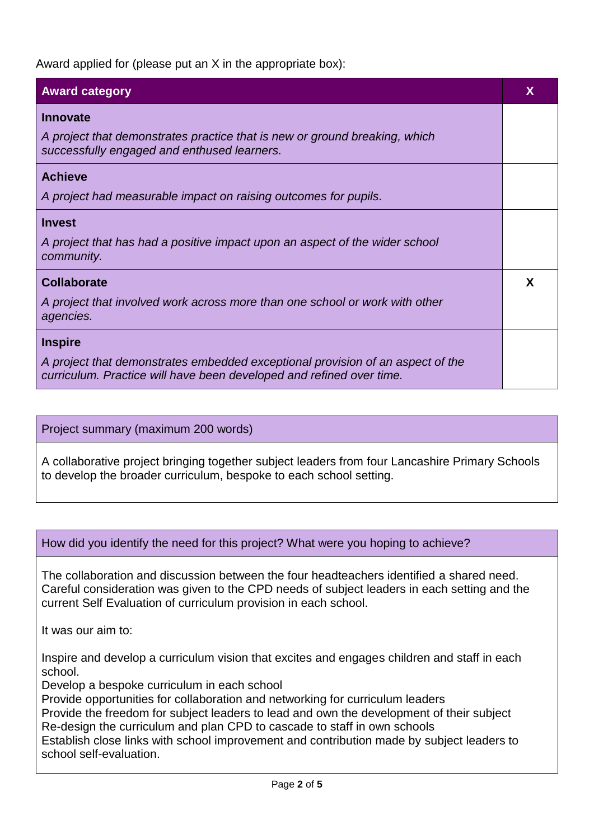Award applied for (please put an X in the appropriate box):

| <b>Award category</b>                                                                                                                                  | X |
|--------------------------------------------------------------------------------------------------------------------------------------------------------|---|
| <b>Innovate</b>                                                                                                                                        |   |
| A project that demonstrates practice that is new or ground breaking, which<br>successfully engaged and enthused learners.                              |   |
| <b>Achieve</b>                                                                                                                                         |   |
| A project had measurable impact on raising outcomes for pupils.                                                                                        |   |
| <b>Invest</b>                                                                                                                                          |   |
| A project that has had a positive impact upon an aspect of the wider school<br>community.                                                              |   |
| <b>Collaborate</b>                                                                                                                                     | X |
| A project that involved work across more than one school or work with other<br>agencies.                                                               |   |
| <b>Inspire</b>                                                                                                                                         |   |
| A project that demonstrates embedded exceptional provision of an aspect of the<br>curriculum. Practice will have been developed and refined over time. |   |

Project summary (maximum 200 words)

A collaborative project bringing together subject leaders from four Lancashire Primary Schools to develop the broader curriculum, bespoke to each school setting.

How did you identify the need for this project? What were you hoping to achieve?

The collaboration and discussion between the four headteachers identified a shared need. Careful consideration was given to the CPD needs of subject leaders in each setting and the current Self Evaluation of curriculum provision in each school.

It was our aim to:

Inspire and develop a curriculum vision that excites and engages children and staff in each school.

Develop a bespoke curriculum in each school

Provide opportunities for collaboration and networking for curriculum leaders

Provide the freedom for subject leaders to lead and own the development of their subject Re-design the curriculum and plan CPD to cascade to staff in own schools

Establish close links with school improvement and contribution made by subject leaders to school self-evaluation.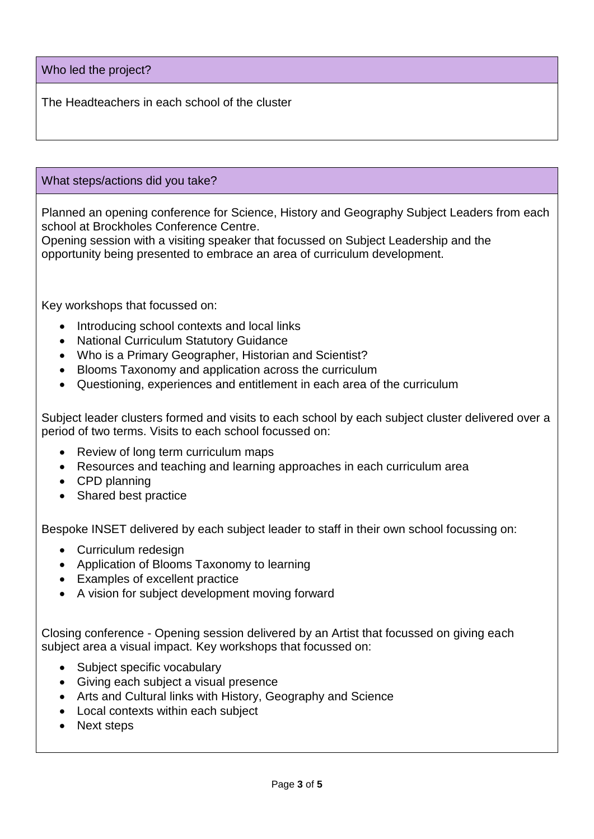Who led the project?

The Headteachers in each school of the cluster

## What steps/actions did you take?

Planned an opening conference for Science, History and Geography Subject Leaders from each school at Brockholes Conference Centre.

Opening session with a visiting speaker that focussed on Subject Leadership and the opportunity being presented to embrace an area of curriculum development.

Key workshops that focussed on:

- Introducing school contexts and local links
- National Curriculum Statutory Guidance
- Who is a Primary Geographer, Historian and Scientist?
- Blooms Taxonomy and application across the curriculum
- Questioning, experiences and entitlement in each area of the curriculum

Subject leader clusters formed and visits to each school by each subject cluster delivered over a period of two terms. Visits to each school focussed on:

- Review of long term curriculum maps
- Resources and teaching and learning approaches in each curriculum area
- CPD planning
- Shared best practice

Bespoke INSET delivered by each subject leader to staff in their own school focussing on:

- Curriculum redesign
- Application of Blooms Taxonomy to learning
- Examples of excellent practice
- A vision for subject development moving forward

Closing conference - Opening session delivered by an Artist that focussed on giving each subject area a visual impact. Key workshops that focussed on:

- Subject specific vocabulary
- Giving each subject a visual presence
- Arts and Cultural links with History, Geography and Science
- Local contexts within each subject
- Next steps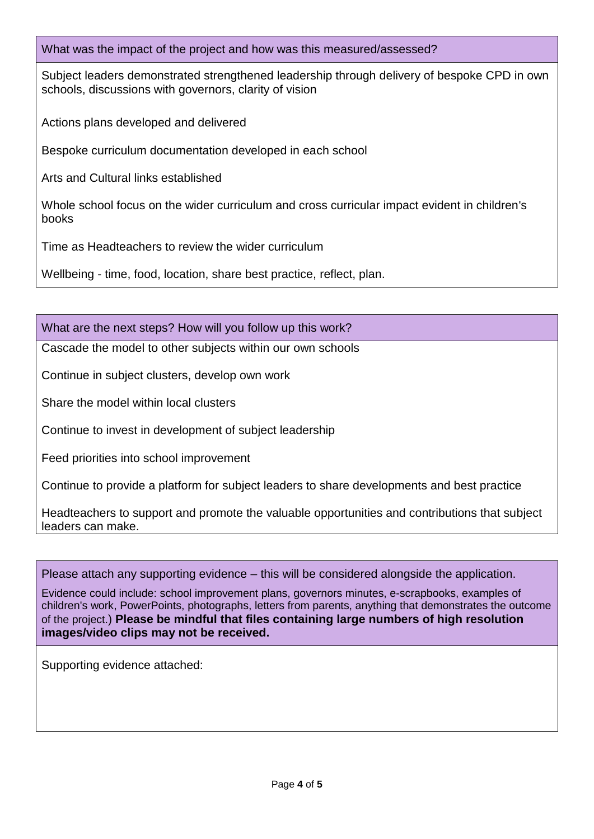What was the impact of the project and how was this measured/assessed?

Subject leaders demonstrated strengthened leadership through delivery of bespoke CPD in own schools, discussions with governors, clarity of vision

Actions plans developed and delivered

Bespoke curriculum documentation developed in each school

Arts and Cultural links established

Whole school focus on the wider curriculum and cross curricular impact evident in children's books

Time as Headteachers to review the wider curriculum

Wellbeing - time, food, location, share best practice, reflect, plan.

What are the next steps? How will you follow up this work?

Cascade the model to other subjects within our own schools

Continue in subject clusters, develop own work

Share the model within local clusters

Continue to invest in development of subject leadership

Feed priorities into school improvement

Continue to provide a platform for subject leaders to share developments and best practice

Headteachers to support and promote the valuable opportunities and contributions that subject leaders can make.

Please attach any supporting evidence – this will be considered alongside the application.

Evidence could include: school improvement plans, governors minutes, e-scrapbooks, examples of children's work, PowerPoints, photographs, letters from parents, anything that demonstrates the outcome of the project.) **Please be mindful that files containing large numbers of high resolution images/video clips may not be received.**

Supporting evidence attached: